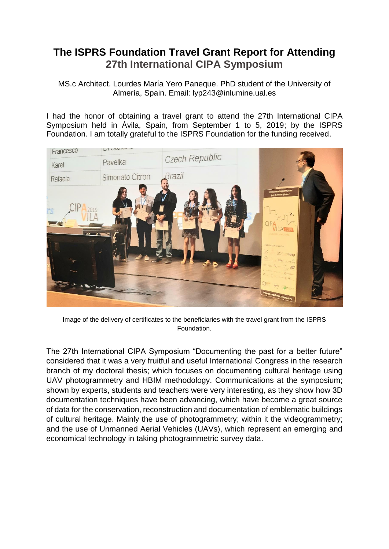## **The ISPRS Foundation Travel Grant Report for Attending 27th International CIPA Symposium**

MS.c Architect. Lourdes María Yero Paneque. PhD student of the University of Almería, Spain. Email: lyp243@inlumine.ual.es

I had the honor of obtaining a travel grant to attend the 27th International CIPA Symposium held in Ávila, Spain, from September 1 to 5, 2019; by the ISPRS Foundation. I am totally grateful to the ISPRS Foundation for the funding received.



Image of the delivery of certificates to the beneficiaries with the travel grant from the ISPRS Foundation.

The 27th International CIPA Symposium "Documenting the past for a better future" considered that it was a very fruitful and useful International Congress in the research branch of my doctoral thesis; which focuses on documenting cultural heritage using UAV photogrammetry and HBIM methodology. Communications at the symposium; shown by experts, students and teachers were very interesting, as they show how 3D documentation techniques have been advancing, which have become a great source of data for the conservation, reconstruction and documentation of emblematic buildings of cultural heritage. Mainly the use of photogrammetry; within it the videogrammetry; and the use of Unmanned Aerial Vehicles (UAVs), which represent an emerging and economical technology in taking photogrammetric survey data.